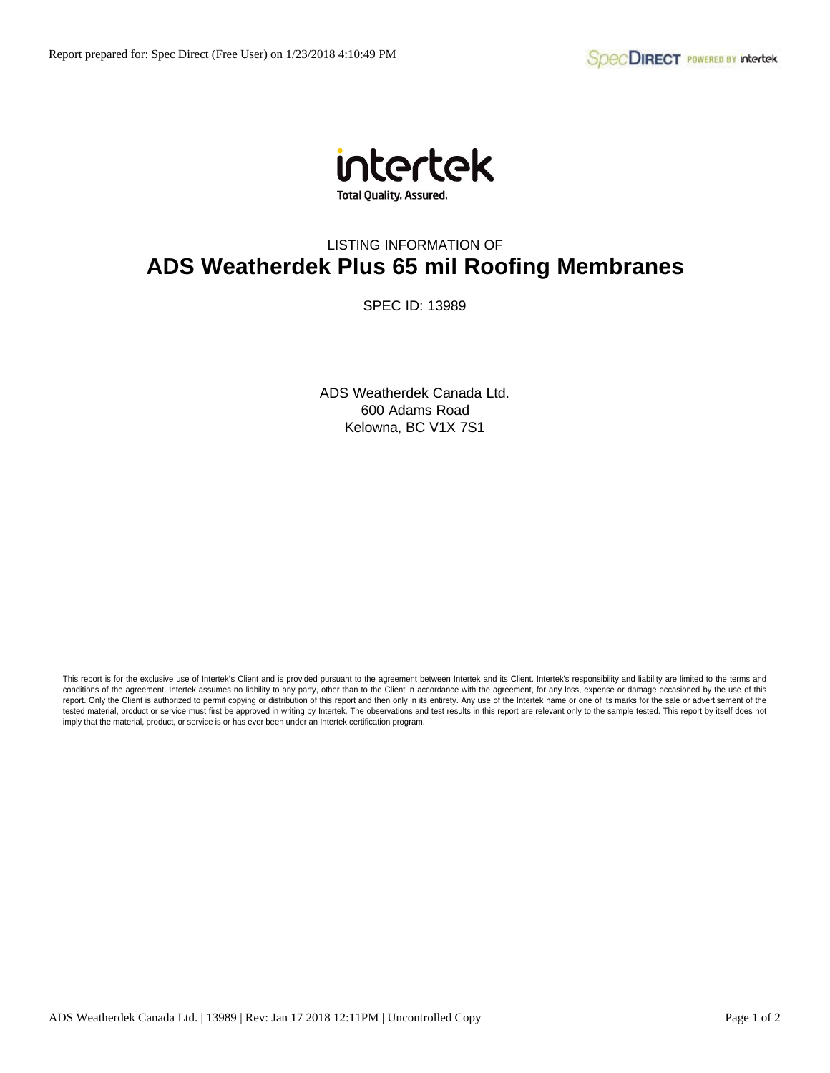

## LISTING INFORMATION OF **ADS Weatherdek Plus 65 mil Roofing Membranes**

SPEC ID: 13989

ADS Weatherdek Canada Ltd. 600 Adams Road Kelowna, BC V1X 7S1

This report is for the exclusive use of Intertek's Client and is provided pursuant to the agreement between Intertek and its Client. Intertek's responsibility and liability are limited to the terms and conditions of the agreement. Intertek assumes no liability to any party, other than to the Client in accordance with the agreement, for any loss, expense or damage occasioned by the use of this report. Only the Client is authorized to permit copying or distribution of this report and then only in its entirety. Any use of the Intertek name or one of its marks for the sale or advertisement of the tested material, product or service must first be approved in writing by Intertek. The observations and test results in this report are relevant only to the sample tested. This report by itself does not imply that the material, product, or service is or has ever been under an Intertek certification program.